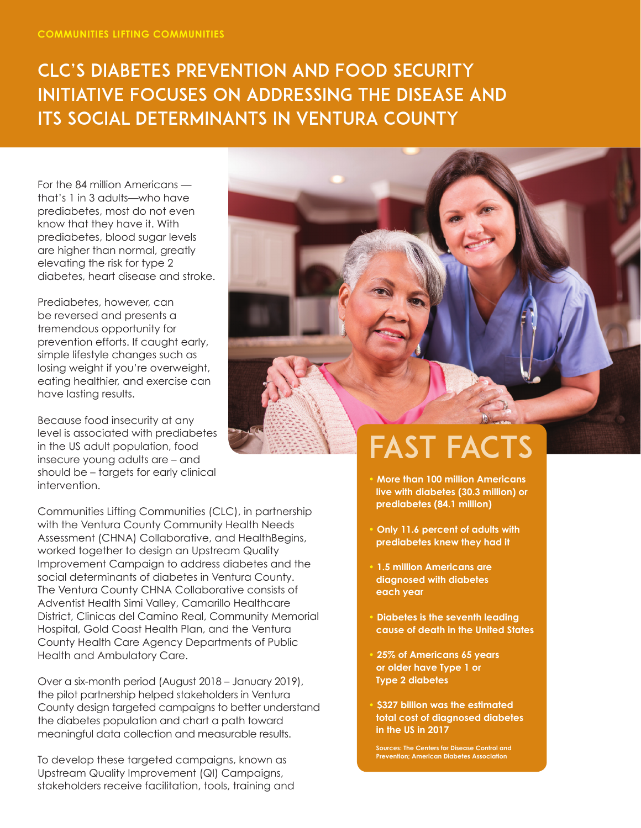## CLC's Diabetes Prevention and Food Security Initiative Focuses on Addressing the Disease and Its Social Determinants in Ventura County

For the 84 million Americans that's 1 in 3 adults—who have prediabetes, most do not even know that they have it. With prediabetes, blood sugar levels are higher than normal, greatly elevating the risk for type 2 diabetes, heart disease and stroke.

Prediabetes, however, can be reversed and presents a tremendous opportunity for prevention efforts. If caught early, simple lifestyle changes such as losing weight if you're overweight, eating healthier, and exercise can have lasting results.

Because food insecurity at any level is associated with prediabetes in the US adult population, food insecure young adults are – and should be – targets for early clinical intervention.

Communities Lifting Communities (CLC), in partnership with the Ventura County Community Health Needs Assessment (CHNA) Collaborative, and HealthBegins, worked together to design an Upstream Quality Improvement Campaign to address diabetes and the social determinants of diabetes in Ventura County. The Ventura County CHNA Collaborative consists of Adventist Health Simi Valley, Camarillo Healthcare District, Clinicas del Camino Real, Community Memorial Hospital, Gold Coast Health Plan, and the Ventura County Health Care Agency Departments of Public Health and Ambulatory Care.

Over a six-month period (August 2018 – January 2019), the pilot partnership helped stakeholders in Ventura County design targeted campaigns to better understand the diabetes population and chart a path toward meaningful data collection and measurable results.

To develop these targeted campaigns, known as Upstream Quality Improvement (QI) Campaigns, stakeholders receive facilitation, tools, training and



## FAST FACTS

- **More than 100 million Americans live with diabetes (30.3 million) or prediabetes (84.1 million)**
- **Only 11.6 percent of adults with prediabetes knew they had it**
- **1.5 million Americans are diagnosed with diabetes each year**
- **Diabetes is the seventh leading cause of death in the United States**
- **25% of Americans 65 years or older have Type 1 or Type 2 diabetes**
- **\$327 billion was the estimated total cost of diagnosed diabetes in the US in 2017**

**Sources: The Centers for Disease Control and Prevention; American Diabetes Association**